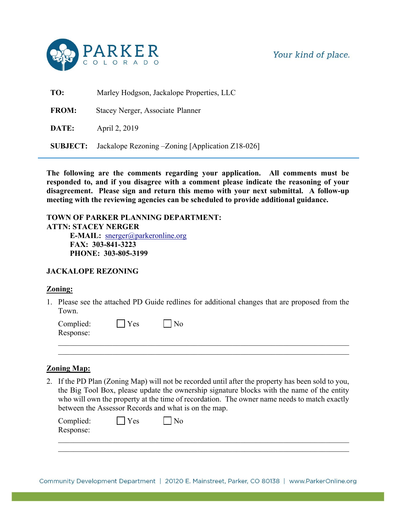

Your kind of place.

| TO:             | Marley Hodgson, Jackalope Properties, LLC         |  |  |
|-----------------|---------------------------------------------------|--|--|
| <b>FROM:</b>    | Stacey Nerger, Associate Planner                  |  |  |
| DATE:           | April 2, 2019                                     |  |  |
| <b>SUBJECT:</b> | Jackalope Rezoning - Zoning [Application Z18-026] |  |  |

**The following are the comments regarding your application. All comments must be responded to, and if you disagree with a comment please indicate the reasoning of your disagreement. Please sign and return this memo with your next submittal. A follow-up meeting with the reviewing agencies can be scheduled to provide additional guidance.** 

**TOWN OF PARKER PLANNING DEPARTMENT: ATTN: STACEY NERGER E-MAIL:** snerger@parkeronline.org **FAX: 303-841-3223 PHONE: 303-805-3199**

### **JACKALOPE REZONING**

### **Zoning:**

1. Please see the attached PD Guide redlines for additional changes that are proposed from the Town.

\_\_\_\_\_\_\_\_\_\_\_\_\_\_\_\_\_\_\_\_\_\_\_\_\_\_\_\_\_\_\_\_\_\_\_\_\_\_\_\_\_\_\_\_\_\_\_\_\_\_\_\_\_\_\_\_\_\_\_\_\_\_\_\_\_\_\_\_\_\_\_\_\_\_\_

| Complied: | <b>Yes</b> | N <sub>0</sub> |  |  |
|-----------|------------|----------------|--|--|
| Response: |            |                |  |  |
|           |            |                |  |  |

### **Zoning Map:**

2. If the PD Plan (Zoning Map) will not be recorded until after the property has been sold to you, the Big Tool Box, please update the ownership signature blocks with the name of the entity who will own the property at the time of recordation. The owner name needs to match exactly between the Assessor Records and what is on the map.

| Complied: | Yes | N <sub>0</sub> |  |  |
|-----------|-----|----------------|--|--|
| Response: |     |                |  |  |
|           |     |                |  |  |

\_\_\_\_\_\_\_\_\_\_\_\_\_\_\_\_\_\_\_\_\_\_\_\_\_\_\_\_\_\_\_\_\_\_\_\_\_\_\_\_\_\_\_\_\_\_\_\_\_\_\_\_\_\_\_\_\_\_\_\_\_\_\_\_\_\_\_\_\_\_\_\_\_\_\_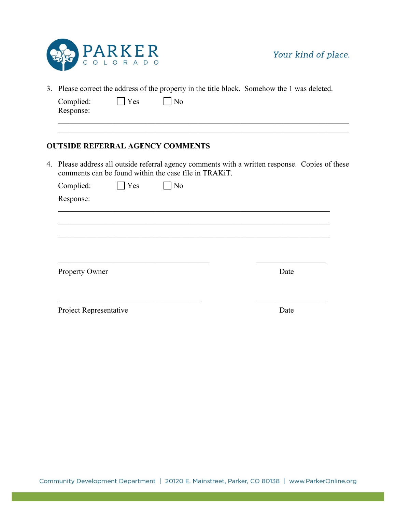

3. Please correct the address of the property in the title block. Somehow the 1 was deleted.

| Complied: | Yes | N <sub>0</sub> |  |  |
|-----------|-----|----------------|--|--|
| Response: |     |                |  |  |
|           |     |                |  |  |

## **OUTSIDE REFERRAL AGENCY COMMENTS**

4. Please address all outside referral agency comments with a written response. Copies of these comments can be found within the case file in TRAKiT.

\_\_\_\_\_\_\_\_\_\_\_\_\_\_\_\_\_\_\_\_\_\_\_\_\_\_\_\_\_\_\_\_\_\_\_\_\_\_\_\_\_\_\_\_\_\_\_\_\_\_\_\_\_\_\_\_\_\_\_\_\_\_\_\_\_\_\_\_\_\_\_\_\_\_\_

| Complied:              | Yes | N <sub>0</sub> |      |
|------------------------|-----|----------------|------|
| Response:              |     |                |      |
|                        |     |                |      |
|                        |     |                |      |
|                        |     |                |      |
|                        |     |                |      |
|                        |     |                |      |
| Property Owner         |     |                | Date |
|                        |     |                |      |
|                        |     |                |      |
| Project Representative |     |                | Date |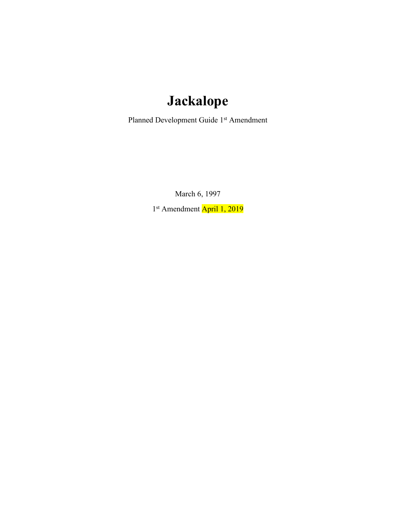# **Jackalope**

Planned Development Guide 1st Amendment

March 6, 1997

1<sup>st</sup> Amendment April 1, 2019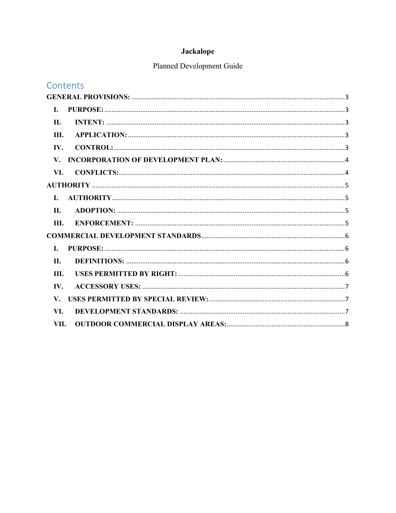## Jackalope

## Planned Development Guide

| Contents             |  |
|----------------------|--|
|                      |  |
| I.                   |  |
| II.                  |  |
| Ш.                   |  |
| IV.                  |  |
| $\mathbf{V}_{\cdot}$ |  |
| VI.                  |  |
|                      |  |
| L                    |  |
| II.                  |  |
| III.                 |  |
|                      |  |
| L.                   |  |
| <b>II.</b>           |  |
| III.                 |  |
| IV.                  |  |
| $\mathbf{V}_{\cdot}$ |  |
| VI.                  |  |
| VII.                 |  |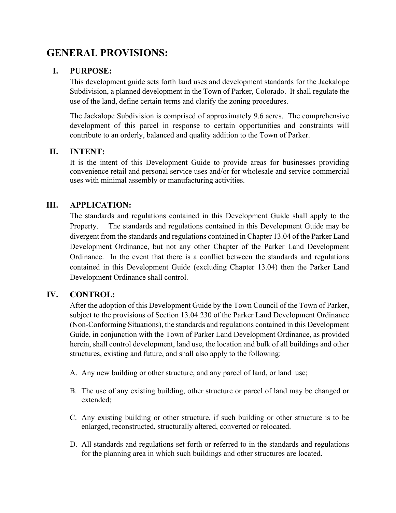## <span id="page-4-0"></span>**GENERAL PROVISIONS:**

## <span id="page-4-1"></span>**I. PURPOSE:**

This development guide sets forth land uses and development standards for the Jackalope Subdivision, a planned development in the Town of Parker, Colorado. It shall regulate the use of the land, define certain terms and clarify the zoning procedures.

The Jackalope Subdivision is comprised of approximately 9.6 acres. The comprehensive development of this parcel in response to certain opportunities and constraints will contribute to an orderly, balanced and quality addition to the Town of Parker.

## <span id="page-4-2"></span>**II. INTENT:**

It is the intent of this Development Guide to provide areas for businesses providing convenience retail and personal service uses and/or for wholesale and service commercial uses with minimal assembly or manufacturing activities.

## <span id="page-4-3"></span>**III. APPLICATION:**

The standards and regulations contained in this Development Guide shall apply to the Property. The standards and regulations contained in this Development Guide may be divergent from the standards and regulations contained in Chapter 13.04 of the Parker Land Development Ordinance, but not any other Chapter of the Parker Land Development Ordinance. In the event that there is a conflict between the standards and regulations contained in this Development Guide (excluding Chapter 13.04) then the Parker Land Development Ordinance shall control.

### <span id="page-4-4"></span>**IV. CONTROL:**

After the adoption of this Development Guide by the Town Council of the Town of Parker, subject to the provisions of Section 13.04.230 of the Parker Land Development Ordinance (Non-Conforming Situations), the standards and regulations contained in this Development Guide, in conjunction with the Town of Parker Land Development Ordinance, as provided herein, shall control development, land use, the location and bulk of all buildings and other structures, existing and future, and shall also apply to the following:

- A. Any new building or other structure, and any parcel of land, or land use;
- B. The use of any existing building, other structure or parcel of land may be changed or extended;
- C. Any existing building or other structure, if such building or other structure is to be enlarged, reconstructed, structurally altered, converted or relocated.
- D. All standards and regulations set forth or referred to in the standards and regulations for the planning area in which such buildings and other structures are located.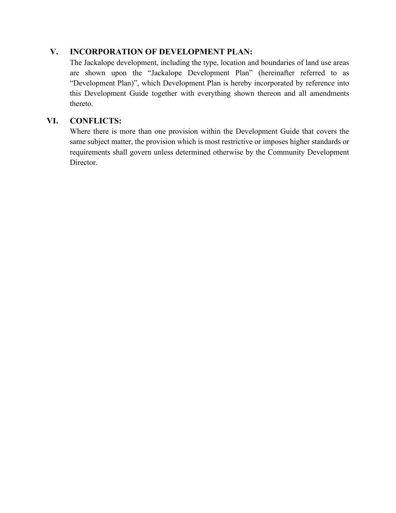## <span id="page-5-0"></span>**V. INCORPORATION OF DEVELOPMENT PLAN:**

The Jackalope development, including the type, location and boundaries of land use areas are shown upon the "Jackalope Development Plan" (hereinafter referred to as "Development Plan)", which Development Plan is hereby incorporated by reference into this Development Guide together with everything shown thereon and all amendments thereto.

## <span id="page-5-1"></span>**VI. CONFLICTS:**

Where there is more than one provision within the Development Guide that covers the same subject matter, the provision which is most restrictive or imposes higher standards or requirements shall govern unless determined otherwise by the Community Development Director.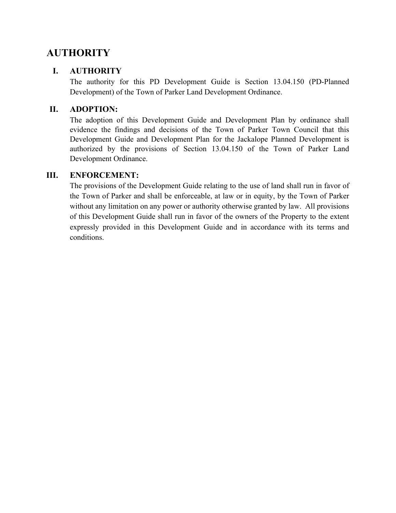## <span id="page-6-0"></span>**AUTHORITY**

## <span id="page-6-1"></span>**I. AUTHORITY**

The authority for this PD Development Guide is Section 13.04.150 (PD-Planned Development) of the Town of Parker Land Development Ordinance.

## <span id="page-6-2"></span>**II. ADOPTION:**

The adoption of this Development Guide and Development Plan by ordinance shall evidence the findings and decisions of the Town of Parker Town Council that this Development Guide and Development Plan for the Jackalope Planned Development is authorized by the provisions of Section 13.04.150 of the Town of Parker Land Development Ordinance.

## <span id="page-6-3"></span>**III. ENFORCEMENT:**

The provisions of the Development Guide relating to the use of land shall run in favor of the Town of Parker and shall be enforceable, at law or in equity, by the Town of Parker without any limitation on any power or authority otherwise granted by law. All provisions of this Development Guide shall run in favor of the owners of the Property to the extent expressly provided in this Development Guide and in accordance with its terms and conditions.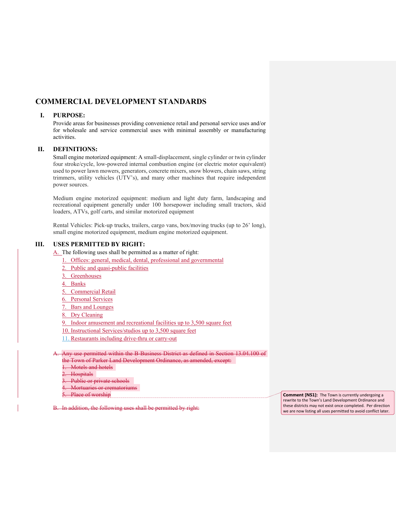### <span id="page-7-0"></span>**COMMERCIAL DEVELOPMENT STANDARDS**

### <span id="page-7-1"></span>**I. PURPOSE:**

Provide areas for businesses providing convenience retail and personal service uses and/or for wholesale and service commercial uses with minimal assembly or manufacturing activities.

### <span id="page-7-2"></span>**II. DEFINITIONS:**

Small engine motorized equipment: A small-displacement, single cylinder or twin cylinder four stroke/cycle, low-powered internal combustion engine (or electric motor equivalent) used to power lawn mowers, generators, concrete mixers, snow blowers, chain saws, string trimmers, utility vehicles (UTV's), and many other machines that require independent power sources.

Medium engine motorized equipment: medium and light duty farm, landscaping and recreational equipment generally under 100 horsepower including small tractors, skid loaders, ATVs, golf carts, and similar motorized equipment

Rental Vehicles: Pick-up trucks, trailers, cargo vans, box/moving trucks (up to 26' long), small engine motorized equipment, medium engine motorized equipment.

#### <span id="page-7-3"></span>**III. USES PERMITTED BY RIGHT:**

A. The following uses shall be permitted as a matter of right:

- 1. Offices: general, medical, dental, professional and governmental
- 2. Public and quasi-public facilities
- 3. Greenhouses
- 4. Banks
- 5. Commercial Retail
- 6. Personal Services
- 7. Bars and Lounges
- 8. Dry Cleaning

9. Indoor amusement and recreational facilities up to 3,500 square feet

- 10. Instructional Services/studios up to 3,500 square feet
- 11. Restaurants including drive-thru or carry-out

A. Any use permitted within the B-Business District as defined in Section 13.04.100 of the Town of Parker Land Development Ordinance, as amended, except:

- 1. Motels and hotels
- 2. Hospitals
- 3. Public or private schools
- 4. Mortuaries or crematoriums
- 5. Place of worship

B. In addition, the following uses shall be permitted by right:

**Comment [NS1]:** The Town is currently undergoing a rewrite to the Town's Land Development Ordinance and these districts may not exist once completed. Per direction we are now listing all uses permitted to avoid conflict later.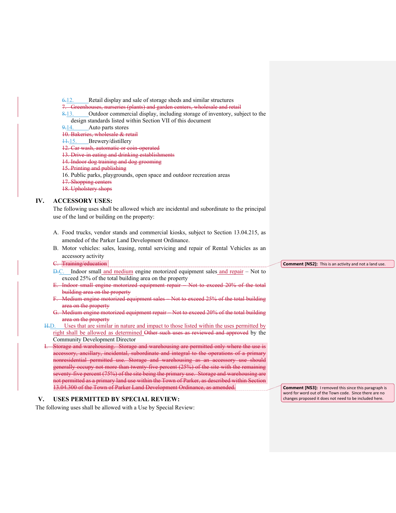- 6.12. Retail display and sale of storage sheds and similar structures
- 
- 7. Greenhouses, nurseries (plants) and garden centers, wholesale and retail 8-13. Outdoor commercial display, including storage of inventory, sub Outdoor commercial display, including storage of inventory, subject to the design standards listed within Section VII of this document  $9-14$ . Auto parts stores
- Auto parts stores
- 10. Bakeries, wholesale & retail
- 11.15. Brewery/distillery
- 12. Car wash, automatic or coin-operated
- 13. Drive-in eating and drinking establishments
- 14. Indoor dog training and dog grooming
- 15. Printing and publishing
- 16. Public parks, playgrounds, open space and outdoor recreation areas
- 17. Shopping centers
- 18. Upholstery shops

### <span id="page-8-0"></span>**IV. ACCESSORY USES:**

The following uses shall be allowed which are incidental and subordinate to the principal use of the land or building on the property:

- A. Food trucks, vendor stands and commercial kiosks, subject to Section 13.04.215, as amended of the Parker Land Development Ordinance.
- B. Motor vehicles: sales, leasing, rental servicing and repair of Rental Vehicles as an accessory activity
- C. Training/education
- D.C. Indoor small and medium engine motorized equipment sales and repair Not to exceed 25% of the total building area on the property
- E. Indoor small engine motorized equipment repair Not to exceed 20% of the total building area on the property
- F. Medium engine motorized equipment sales Not to exceed 25% of the total building area on the property
- G. Medium engine motorized equipment repair Not to exceed 20% of the total building area on the property
- H.D. Uses that are similar in nature and impact to those listed within the uses permitted by right shall be allowed as determined Other such uses as reviewed and approved by the Community Development Director
- Storage and warehousing. Storage and warehousing are permitted only where the use is accessory, ancillary, incidental, subordinate and integral to the operations of a primary nonresidential permitted use. Storage and warehousing as an accessory use should generally occupy not more than twenty-five percent  $(25%)$  of the site with the remaining seventy-five percent (75%) of the site being the primary use. Storage and warehousing are not permitted as a primary land use within the Town of Parker, as described within Section 13.04.300 of the Town of Parker Land Development Ordinance, as amended.

### <span id="page-8-1"></span>**V. USES PERMITTED BY SPECIAL REVIEW:**

The following uses shall be allowed with a Use by Special Review:

#### **Comment [NS2]:** This is an activity and not a land use.

**Comment [NS3]:** I removed this since this paragraph is word for word out of the Town code. Since there are no changes proposed it does not need to be included here.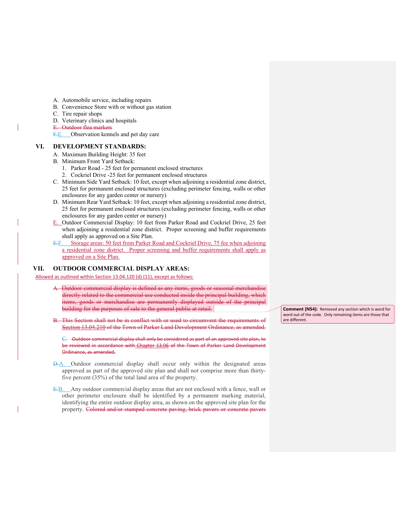- A. Automobile service, including repairs
- B. Convenience Store with or without gas station
- C. Tire repair shops
- D. Veterinary clinics and hospitals
- E. Outdoor flea markets
	- F.E. Observation kennels and pet day care

#### <span id="page-9-0"></span>**VI. DEVELOPMENT STANDARDS:**

- A. Maximum Building Height: 35 feet
- B. Minimum Front Yard Setback:
	- 1. Parker Road 25 feet for permanent enclosed structures
	- 2. Cockriel Drive -25 feet for permanent enclosed structures
- C. Minimum Side Yard Setback: 10 feet, except when adjoining a residential zone district, 25 feet for permanent enclosed structures (excluding perimeter fencing, walls or other enclosures for any garden center or nursery)
- D. Minimum Rear Yard Setback: 10 feet, except when adjoining a residential zone district, 25 feet for permanent enclosed structures (excluding perimeter fencing, walls or other enclosures for any garden center or nursery)
- E. Outdoor Commercial Display: 10 feet from Parker Road and Cockriel Drive, 25 feet when adjoining a residential zone district. Proper screening and buffer requirements shall apply as approved on a Site Plan.
- E.F. Storage areas: 50 feet from Parker Road and Cockriel Drive, 75 fee when adjoining a residential zone district. Proper screening and buffer requirements shall apply as approved on a Site Plan.

#### <span id="page-9-1"></span>**VII. OUTDOOR COMMERCIAL DISPLAY AREAS:**

Allowed as outlined within Section 13.04.120 (d) (11), except as follows:

- Outdoor commercial display is defined as any items, goods or seasonal merchandise directly related to the commercial use conducted inside the principal building, which items, goods or merchandise are permanently displayed outside of the principal building for the purposes of sale to the general public at retail.
- This Section shall not be in conflict with or used to circumvent the requirements of [Section 13.04.210](https://library.municode.com/co/parker/codes/municipal_code?nodeId=TIT13LADEOR_CH13.04ZO_13.04.210TESTUS) of the Town of Parker Land Development Ordinance, as amended.

C. Outdoor commercial display shall only be considered as part of an approved site plan, to be reviewed in accordance with [Chapter 13.06](https://library.municode.com/co/parker/codes/municipal_code?nodeId=TIT13LADEOR_CH13.06SIPLSTPR) of the Town of Parker Land Development Ordinance, as amended.

- D.A. Outdoor commercial display shall occur only within the designated areas approved as part of the approved site plan and shall not comprise more than thirtyfive percent (35%) of the total land area of the property.
- E.B. Any outdoor commercial display areas that are not enclosed with a fence, wall or other perimeter enclosure shall be identified by a permanent marking material, identifying the entire outdoor display area, as shown on the approved site plan for the property. Colored and/or stamped concrete paving, brick pavers or concrete pavers

**Comment [NS4]:** Removed any section which is word for word out of the code. Only remaining items are those that are different.